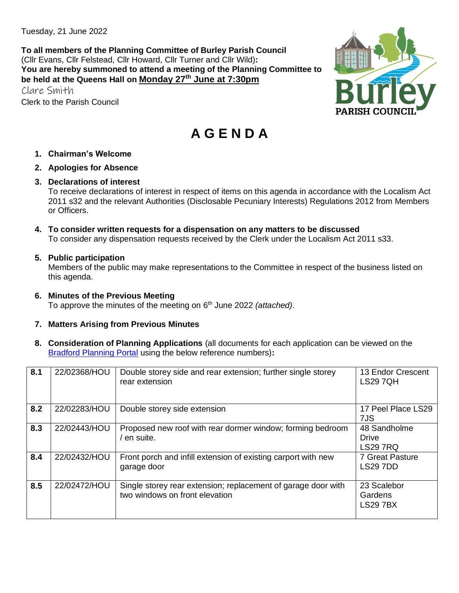Tuesday, 21 June 2022

**To all members of the Planning Committee of Burley Parish Council** (Cllr Evans, Cllr Felstead, Cllr Howard, Cllr Turner and Cllr Wild)**: You are hereby summoned to attend a meeting of the Planning Committee to be held at the Queens Hall on Monday 27th June at 7:30pm**

Clare Smith Clerk to the Parish Council



# **A G E N D A**

- **1. Chairman's Welcome**
- **2. Apologies for Absence**
- **3. Declarations of interest**

To receive declarations of interest in respect of items on this agenda in accordance with the Localism Act 2011 s32 and the relevant Authorities (Disclosable Pecuniary Interests) Regulations 2012 from Members or Officers.

**4. To consider written requests for a dispensation on any matters to be discussed**  To consider any dispensation requests received by the Clerk under the Localism Act 2011 s33.

#### **5. Public participation**

Members of the public may make representations to the Committee in respect of the business listed on this agenda.

**6. Minutes of the Previous Meeting**  To approve the minutes of the meeting on 6 th June 2022 *(attached)*.

### **7. Matters Arising from Previous Minutes**

**8. Consideration of Planning Applications** (all documents for each application can be viewed on the [Bradford Planning Portal](https://planning.bradford.gov.uk/online-applications/) using the below reference numbers)**:**

| 8.1 | 22/02368/HOU | Double storey side and rear extension; further single storey<br>rear extension                  | 13 Endor Crescent<br><b>LS29 7QH</b>            |
|-----|--------------|-------------------------------------------------------------------------------------------------|-------------------------------------------------|
| 8.2 | 22/02283/HOU | Double storey side extension                                                                    | 17 Peel Place LS29<br>7JS                       |
| 8.3 | 22/02443/HOU | Proposed new roof with rear dormer window; forming bedroom<br>/ en suite.                       | 48 Sandholme<br><b>Drive</b><br><b>LS29 7RQ</b> |
| 8.4 | 22/02432/HOU | Front porch and infill extension of existing carport with new<br>garage door                    | 7 Great Pasture<br><b>LS29 7DD</b>              |
| 8.5 | 22/02472/HOU | Single storey rear extension; replacement of garage door with<br>two windows on front elevation | 23 Scalebor<br>Gardens<br><b>LS29 7BX</b>       |